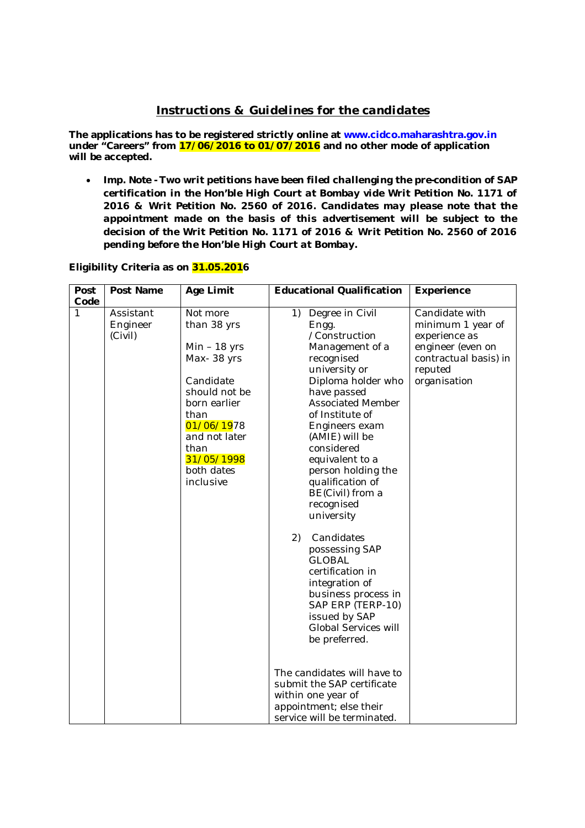# *Instructions & Guidelines for the candidates*

**The applications has to be registered strictly online at www.cidco.maharashtra.gov.in under "Careers" from 17/06/2016 to 01/07/2016 and no other mode of application will be accepted.**

 *Imp. Note - Two writ petitions have been filed challenging the pre-condition of SAP certification in the Hon'ble High Court at Bombay vide Writ Petition No. 1171 of 2016 & Writ Petition No. 2560 of 2016. Candidates may please note that the appointment made on the basis of this advertisement will be subject to the decision of the Writ Petition No. 1171 of 2016 & Writ Petition No. 2560 of 2016 pending before the Hon'ble High Court at Bombay.*

## **Eligibility Criteria as on 31.05.2016**

| Post | Post Name                        | Age Limit                                                                                                                                                                                     | <b>Educational Qualification</b>                                                                                                                                                                                                                                                                                                                                         | Experience                                                                                                                    |
|------|----------------------------------|-----------------------------------------------------------------------------------------------------------------------------------------------------------------------------------------------|--------------------------------------------------------------------------------------------------------------------------------------------------------------------------------------------------------------------------------------------------------------------------------------------------------------------------------------------------------------------------|-------------------------------------------------------------------------------------------------------------------------------|
| Code |                                  |                                                                                                                                                                                               |                                                                                                                                                                                                                                                                                                                                                                          |                                                                                                                               |
| 1    | Assistant<br>Engineer<br>(Civil) | Not more<br>than 38 yrs<br>$Min - 18$ yrs<br>Max-38 yrs<br>Candidate<br>should not be<br>born earlier<br>than<br>01/06/1978<br>and not later<br>than<br>31/05/1998<br>both dates<br>inclusive | 1)<br>Degree in Civil<br>Engg.<br>/Construction<br>Management of a<br>recognised<br>university or<br>Diploma holder who<br>have passed<br><b>Associated Member</b><br>of Institute of<br>Engineers exam<br>(AMIE) will be<br>considered<br>equivalent to a<br>person holding the<br>qualification of<br>BE(Civil) from a<br>recognised<br>university<br>2)<br>Candidates | Candidate with<br>minimum 1 year of<br>experience as<br>engineer (even on<br>contractual basis) in<br>reputed<br>organisation |
|      |                                  |                                                                                                                                                                                               | possessing SAP<br><b>GLOBAL</b><br>certification in<br>integration of<br>business process in<br>SAP ERP (TERP-10)<br>issued by SAP<br>Global Services will<br>be preferred.<br>The candidates will have to<br>submit the SAP certificate<br>within one year of<br>appointment; else their<br>service will be terminated.                                                 |                                                                                                                               |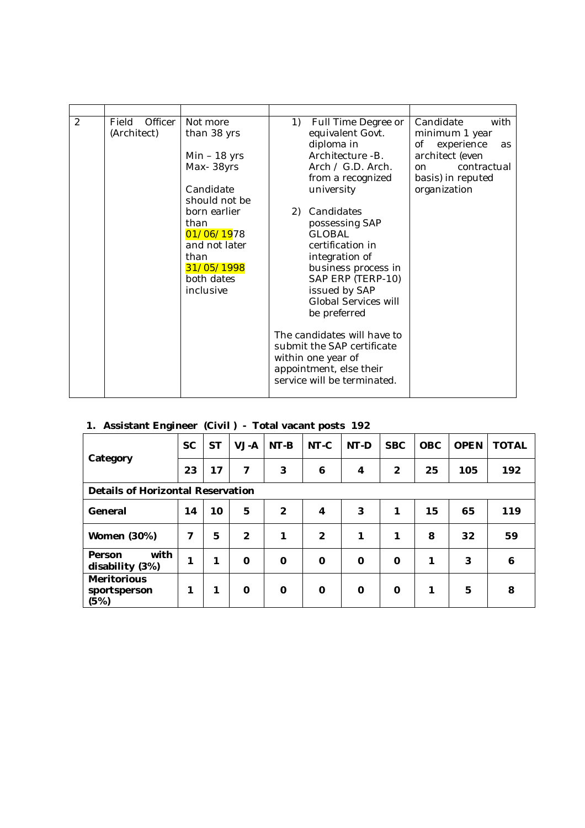| 2<br>Officer<br>Candidate<br>Field<br>Not more<br>1)<br>Full Time Degree or<br>(Architect)<br>than 38 yrs<br>equivalent Govt.<br>minimum 1 year                                                                                                                                                                                                                                                                                                                                                                                                                                                                                                                                                | with              |
|------------------------------------------------------------------------------------------------------------------------------------------------------------------------------------------------------------------------------------------------------------------------------------------------------------------------------------------------------------------------------------------------------------------------------------------------------------------------------------------------------------------------------------------------------------------------------------------------------------------------------------------------------------------------------------------------|-------------------|
| diploma in<br>experience<br>Οf<br>Architecture -B.<br>architect (even<br>$Min - 18$ yrs<br>Max-38yrs<br>Arch $/$ G.D. Arch.<br>on<br>basis) in reputed<br>from a recognized<br>Candidate<br>university<br>organization<br>should not be<br>born earlier<br>Candidates<br>2)<br>possessing SAP<br>than<br>01/06/1978<br><b>GLOBAL</b><br>and not later<br>certification in<br>than<br>integration of<br>31/05/1998<br>business process in<br>SAP ERP (TERP-10)<br>both dates<br>issued by SAP<br>inclusive<br>Global Services will<br>be preferred<br>The candidates will have to<br>submit the SAP certificate<br>within one year of<br>appointment, else their<br>service will be terminated. | as<br>contractual |

# **1. Assistant Engineer (Civil ) - Total vacant posts 192**

| ັ                                          |           |           |                |                |                |      |                |            |             |              |
|--------------------------------------------|-----------|-----------|----------------|----------------|----------------|------|----------------|------------|-------------|--------------|
|                                            | <b>SC</b> | <b>ST</b> | VJ-A           | $NT-B$         | NT-C           | NT-D | <b>SBC</b>     | <b>OBC</b> | <b>OPEN</b> | <b>TOTAL</b> |
| Category                                   | 23        | 17        | 7              | 3              | 6              | 4    | $\overline{2}$ | 25         | 105         | 192          |
| Details of Horizontal Reservation          |           |           |                |                |                |      |                |            |             |              |
| General                                    | 14        | 10        | 5              | $\overline{2}$ | 4              | 3    | 1              | 15         | 65          | 119          |
| Women (30%)                                | 7         | 5         | $\overline{2}$ | 1              | $\overline{2}$ | 1    | 1              | 8          | 32          | 59           |
| with<br>Person<br>disability (3%)          | 1         | 1         | $\Omega$       | $\Omega$       | $\Omega$       | 0    | $\Omega$       | 1          | 3           | 6            |
| <b>Meritorious</b><br>sportsperson<br>(5%) | 1         | 1         | $\Omega$       | O              | $\Omega$       | 0    | 0              | 1          | 5           | 8            |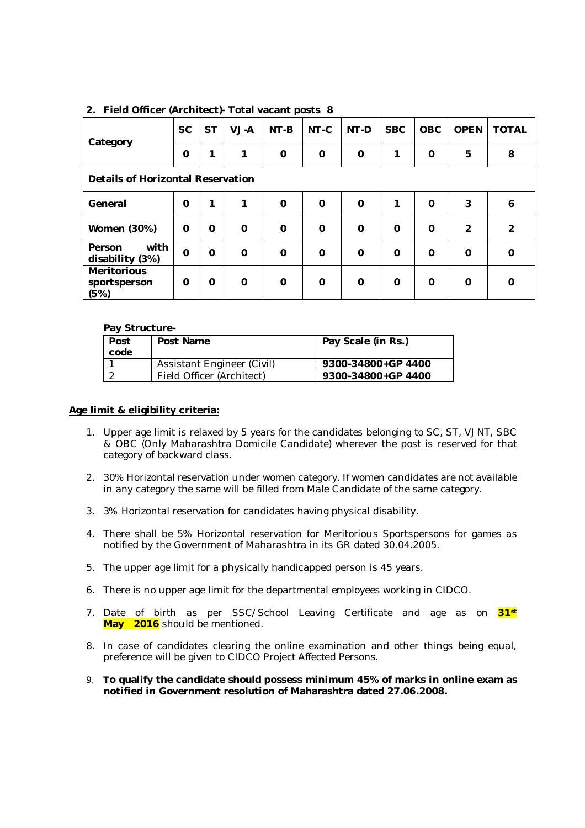| Category                                   | <b>SC</b> | <b>ST</b> | VJ-A     | $NT-B$   | NT-C        | NT-D     | <b>SBC</b> | <b>OBC</b> | <b>OPEN</b>    | <b>TOTAL</b> |
|--------------------------------------------|-----------|-----------|----------|----------|-------------|----------|------------|------------|----------------|--------------|
|                                            | O         | 1         | 1        | O        | $\mathbf 0$ | $\Omega$ | 1          | 0          | 5              | 8            |
| Details of Horizontal Reservation          |           |           |          |          |             |          |            |            |                |              |
| General                                    | $\Omega$  | 1         | 1        | $\Omega$ | $\Omega$    | $\Omega$ | 1          | $\Omega$   | 3              | 6            |
| Women (30%)                                | 0         | 0         | $\Omega$ | $\Omega$ | $\mathbf 0$ | $\Omega$ | $\Omega$   | 0          | $\overline{2}$ | 2            |
| with<br>Person<br>disability (3%)          | $\Omega$  | 0         | $\Omega$ | $\Omega$ | $\Omega$    | $\Omega$ | $\Omega$   | $\Omega$   | $\Omega$       | $\Omega$     |
| <b>Meritorious</b><br>sportsperson<br>(5%) | 0         | 0         | $\Omega$ | $\Omega$ | $\Omega$    | $\Omega$ | $\Omega$   | $\Omega$   | 0              | 0            |

## **2. Field Officer (Architect)- Total vacant posts 8**

#### **Pay Structure-**

| Post<br>code | Post Name                  | Pay Scale (in Rs.) |
|--------------|----------------------------|--------------------|
|              | Assistant Engineer (Civil) | 9300-34800+GP 4400 |
|              | Field Officer (Architect)  | 9300-34800+GP 4400 |

#### **Age limit & eligibility criteria:**

- 1. Upper age limit is relaxed by 5 years for the candidates belonging to SC, ST, VJNT, SBC & OBC (Only Maharashtra Domicile Candidate) wherever the post is reserved for that category of backward class.
- 2. 30% Horizontal reservation under women category. If women candidates are not available in any category the same will be filled from Male Candidate of the same category.
- 3. 3% Horizontal reservation for candidates having physical disability.
- 4. There shall be 5% Horizontal reservation for Meritorious Sportspersons for games as notified by the Government of Maharashtra in its GR dated 30.04.2005.
- 5. The upper age limit for a physically handicapped person is 45 years.
- 6. There is no upper age limit for the departmental employees working in CIDCO.
- 7. Date of birth as per SSC/School Leaving Certificate and age as on **31st May 2016** should be mentioned.
- 8. In case of candidates clearing the online examination and other things being equal, preference will be given to CIDCO Project Affected Persons.
- 9. **To qualify the candidate should possess minimum 45% of marks in online exam as notified in Government resolution of Maharashtra dated 27.06.2008.**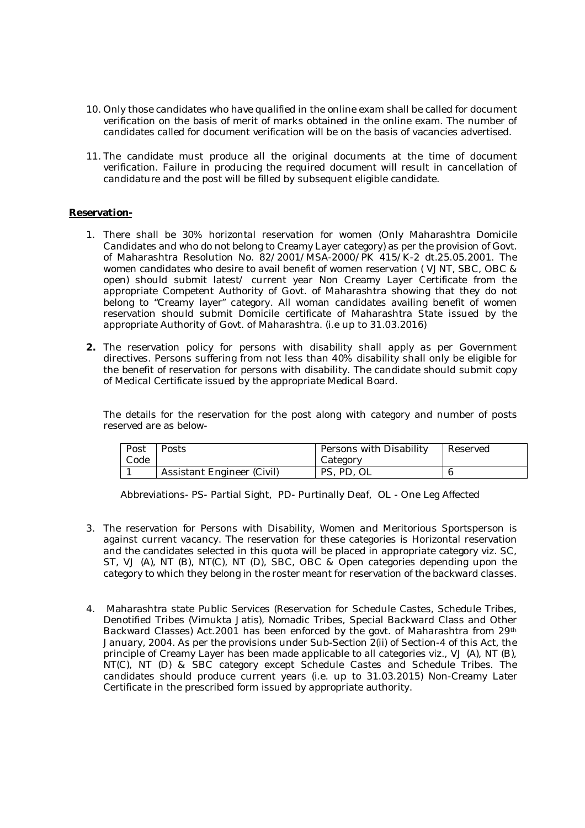- 10. Only those candidates who have qualified in the online exam shall be called for document verification on the basis of merit of marks obtained in the online exam. The number of candidates called for document verification will be on the basis of vacancies advertised.
- 11. The candidate must produce all the original documents at the time of document verification. Failure in producing the required document will result in cancellation of candidature and the post will be filled by subsequent eligible candidate.

## **Reservation-**

- 1. There shall be 30% horizontal reservation for women (Only Maharashtra Domicile Candidates and who do not belong to Creamy Layer category) as per the provision of Govt. of Maharashtra Resolution No. 82/2001/MSA-2000/PK 415/K-2 dt.25.05.2001. The women candidates who desire to avail benefit of women reservation ( VJNT, SBC, OBC & open) should submit latest/ current year Non Creamy Layer Certificate from the appropriate Competent Authority of Govt. of Maharashtra showing that they do not belong to "Creamy layer" category. All woman candidates availing benefit of women reservation should submit Domicile certificate of Maharashtra State issued by the appropriate Authority of Govt. of Maharashtra. (i.e up to 31.03.2016)
- **2.** The reservation policy for persons with disability shall apply as per Government directives. Persons suffering from not less than 40% disability shall only be eligible for the benefit of reservation for persons with disability. The candidate should submit copy of Medical Certificate issued by the appropriate Medical Board.

The details for the reservation for the post along with category and number of posts reserved are as below-

| Post | Posts                             | Persons with Disability | Reserved |
|------|-----------------------------------|-------------------------|----------|
| Code |                                   | Category                |          |
|      | <b>Assistant Engineer (Civil)</b> | PS, PD, OL              |          |

Abbreviations- PS- Partial Sight, PD- Purtinally Deaf, OL - One Leg Affected

- 3. The reservation for Persons with Disability, Women and Meritorious Sportsperson is against current vacancy. The reservation for these categories is Horizontal reservation and the candidates selected in this quota will be placed in appropriate category viz. SC, ST, VJ (A), NT (B), NT(C), NT (D), SBC, OBC & Open categories depending upon the category to which they belong in the roster meant for reservation of the backward classes.
- 4. Maharashtra state Public Services (Reservation for Schedule Castes, Schedule Tribes, Denotified Tribes (Vimukta Jatis), Nomadic Tribes, Special Backward Class and Other Backward Classes) Act.2001 has been enforced by the govt. of Maharashtra from 29th January, 2004. As per the provisions under Sub-Section 2(ii) of Section-4 of this Act, the principle of Creamy Layer has been made applicable to all categories viz., VJ (A), NT (B), NT(C), NT (D) & SBC category except Schedule Castes and Schedule Tribes. The candidates should produce current years (i.e. up to 31.03.2015) Non-Creamy Later Certificate in the prescribed form issued by appropriate authority.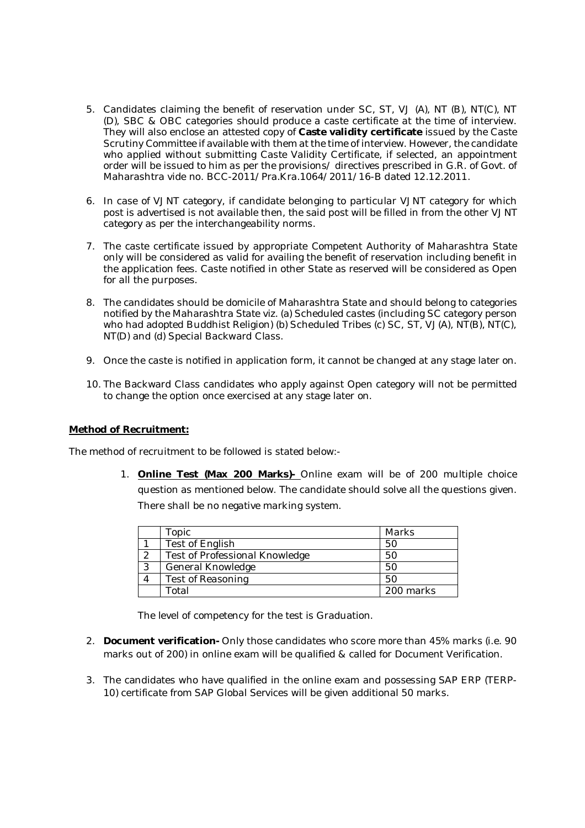- 5. Candidates claiming the benefit of reservation under SC, ST, VJ (A), NT (B), NT(C), NT (D), SBC & OBC categories should produce a caste certificate at the time of interview. They will also enclose an attested copy of **Caste validity certificate** issued by the Caste Scrutiny Committee if available with them at the time of interview. However, the candidate who applied without submitting Caste Validity Certificate, if selected, an appointment order will be issued to him as per the provisions/ directives prescribed in G.R. of Govt. of Maharashtra vide no. BCC-2011/Pra.Kra.1064/2011/16-B dated 12.12.2011.
- 6. In case of VJNT category, if candidate belonging to particular VJNT category for which post is advertised is not available then, the said post will be filled in from the other VJNT category as per the interchangeability norms.
- 7. The caste certificate issued by appropriate Competent Authority of Maharashtra State only will be considered as valid for availing the benefit of reservation including benefit in the application fees. Caste notified in other State as reserved will be considered as Open for all the purposes.
- 8. The candidates should be domicile of Maharashtra State and should belong to categories notified by the Maharashtra State viz. (a) Scheduled castes (including SC category person who had adopted Buddhist Religion) (b) Scheduled Tribes (c) SC, ST, VJ(A), NT(B), NT(C), NT(D) and (d) Special Backward Class.
- 9. Once the caste is notified in application form, it cannot be changed at any stage later on.
- 10. The Backward Class candidates who apply against Open category will not be permitted to change the option once exercised at any stage later on.

## **Method of Recruitment:**

The method of recruitment to be followed is stated below:-

1. **Online Test (Max 200 Marks)-** Online exam will be of 200 multiple choice question as mentioned below. The candidate should solve all the questions given. There shall be no negative marking system.

|   | Topic                          | Marks     |
|---|--------------------------------|-----------|
|   | Test of English                | 5C        |
|   | Test of Professional Knowledge | 50        |
| っ | General Knowledge              | 50        |
|   | Test of Reasoning              | 50        |
|   | Total                          | 200 marks |

The level of competency for the test is Graduation.

- 2. **Document verification-** Only those candidates who score more than 45% marks (i.e. 90 marks out of 200) in online exam will be qualified & called for Document Verification.
- 3. The candidates who have qualified in the online exam and possessing SAP ERP (TERP-10) certificate from SAP Global Services will be given additional 50 marks.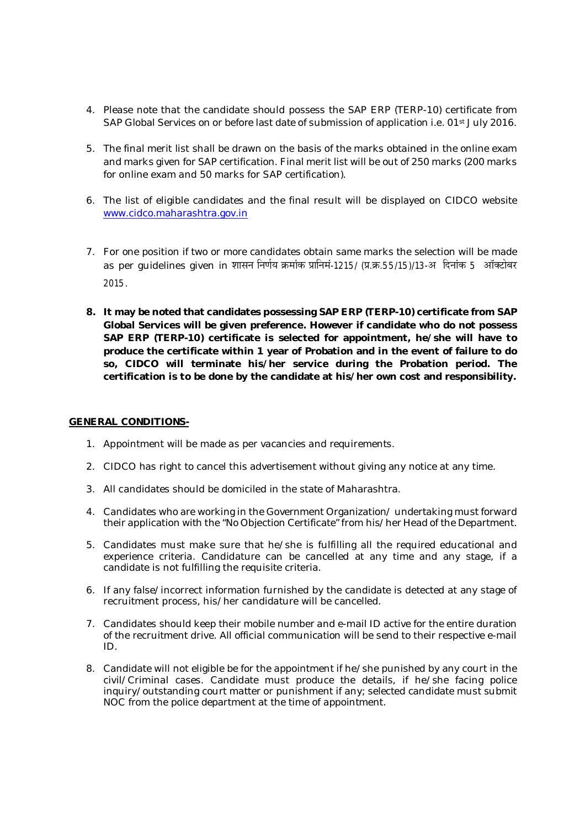- 4. Please note that the candidate should possess the SAP ERP (TERP-10) certificate from SAP Global Services on or before last date of submission of application i.e. 01<sup>st</sup> July 2016.
- 5. The final merit list shall be drawn on the basis of the marks obtained in the online exam and marks given for SAP certification. Final merit list will be out of 250 marks (200 marks for online exam and 50 marks for SAP certification).
- 6. The list of eligible candidates and the final result will be displayed on CIDCO website www.cidco.maharashtra.gov.in
- 7. For one position if two or more candidates obtain same marks the selection will be made as per guidelines given in शासन निर्णय क्रमांक प्रानिमं-1215/ (प्र.क्र.55/15)/13-अ दिनांक 5 ऑक्टोबर 2015.
- **8. It may be noted that candidates possessing SAP ERP (TERP-10) certificate from SAP Global Services will be given preference. However if candidate who do not possess SAP ERP (TERP-10) certificate is selected for appointment, he/she will have to produce the certificate within 1 year of Probation and in the event of failure to do so, CIDCO will terminate his/her service during the Probation period. The certification is to be done by the candidate at his/her own cost and responsibility.**

## **GENERAL CONDITIONS-**

- 1. Appointment will be made as per vacancies and requirements.
- 2. CIDCO has right to cancel this advertisement without giving any notice at any time.
- 3. All candidates should be domiciled in the state of Maharashtra.
- 4. Candidates who are working in the Government Organization/ undertaking must forward their application with the "No Objection Certificate" from his/her Head of the Department.
- 5. Candidates must make sure that he/she is fulfilling all the required educational and experience criteria. Candidature can be cancelled at any time and any stage, if a candidate is not fulfilling the requisite criteria.
- 6. If any false/incorrect information furnished by the candidate is detected at any stage of recruitment process, his/her candidature will be cancelled.
- 7. Candidates should keep their mobile number and e-mail ID active for the entire duration of the recruitment drive. All official communication will be send to their respective e-mail ID.
- 8. Candidate will not eligible be for the appointment if he/she punished by any court in the civil/Criminal cases. Candidate must produce the details, if he/she facing police inquiry/outstanding court matter or punishment if any; selected candidate must submit NOC from the police department at the time of appointment.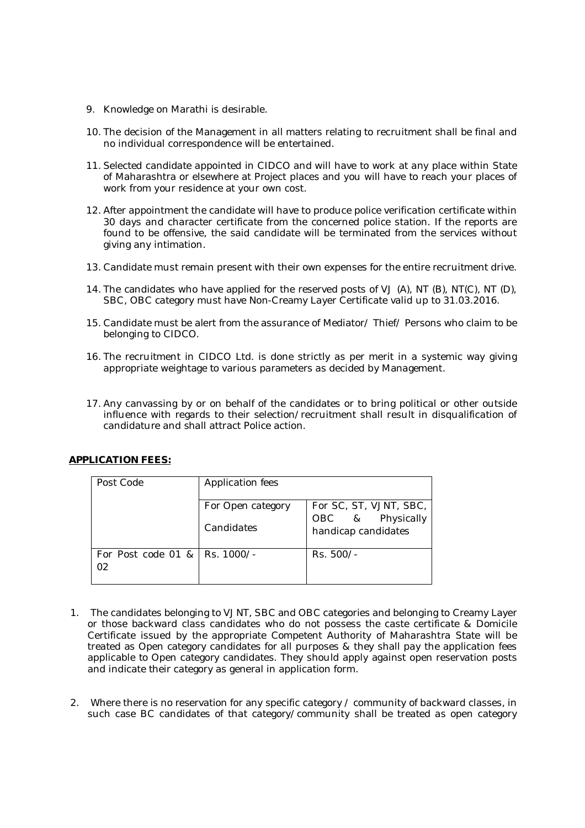- 9. Knowledge on Marathi is desirable.
- 10. The decision of the Management in all matters relating to recruitment shall be final and no individual correspondence will be entertained.
- 11. Selected candidate appointed in CIDCO and will have to work at any place within State of Maharashtra or elsewhere at Project places and you will have to reach your places of work from your residence at your own cost.
- 12. After appointment the candidate will have to produce police verification certificate within 30 days and character certificate from the concerned police station. If the reports are found to be offensive, the said candidate will be terminated from the services without giving any intimation.
- 13. Candidate must remain present with their own expenses for the entire recruitment drive.
- 14. The candidates who have applied for the reserved posts of VJ (A), NT (B), NT(C), NT (D), SBC, OBC category must have Non-Creamy Layer Certificate valid up to 31.03.2016.
- 15. Candidate must be alert from the assurance of Mediator/ Thief/ Persons who claim to be belonging to CIDCO.
- 16. The recruitment in CIDCO Ltd. is done strictly as per merit in a systemic way giving appropriate weightage to various parameters as decided by Management.
- 17. Any canvassing by or on behalf of the candidates or to bring political or other outside influence with regards to their selection/recruitment shall result in disqualification of candidature and shall attract Police action.

| <b>APPLICATION FEES:</b> |          |
|--------------------------|----------|
| Post Code                | Applicat |

| Post Code                             | Application fees  |                                         |  |  |  |
|---------------------------------------|-------------------|-----------------------------------------|--|--|--|
|                                       | For Open category | For SC, ST, VJNT, SBC,                  |  |  |  |
|                                       | Candidates        | OBC & Physically<br>handicap candidates |  |  |  |
| For Post code 01 &   Rs. 1000/-<br>02 |                   | $Rs. 500/-$                             |  |  |  |

- 1. The candidates belonging to VJNT, SBC and OBC categories and belonging to Creamy Layer or those backward class candidates who do not possess the caste certificate & Domicile Certificate issued by the appropriate Competent Authority of Maharashtra State will be treated as Open category candidates for all purposes & they shall pay the application fees applicable to Open category candidates. They should apply against open reservation posts and indicate their category as general in application form.
- 2. Where there is no reservation for any specific category / community of backward classes, in such case BC candidates of that category/community shall be treated as open category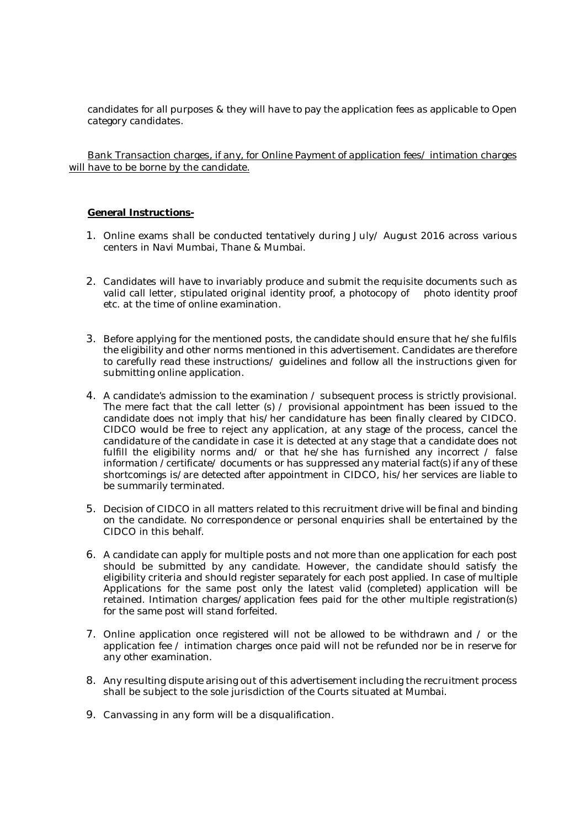candidates for all purposes & they will have to pay the application fees as applicable to Open category candidates.

Bank Transaction charges, if any, for Online Payment of application fees/ intimation charges will have to be borne by the candidate.

#### **General Instructions-**

- 1. Online exams shall be conducted tentatively during July/ August 2016 across various centers in Navi Mumbai, Thane & Mumbai.
- 2. Candidates will have to invariably produce and submit the requisite documents such as valid call letter, stipulated original identity proof, a photocopy of photo identity proof etc. at the time of online examination.
- 3. Before applying for the mentioned posts, the candidate should ensure that he/she fulfils the eligibility and other norms mentioned in this advertisement. Candidates are therefore to carefully read these instructions/ guidelines and follow all the instructions given for submitting online application.
- 4. A candidate's admission to the examination / subsequent process is strictly provisional. The mere fact that the call letter (s) / provisional appointment has been issued to the candidate does not imply that his/her candidature has been finally cleared by CIDCO. CIDCO would be free to reject any application, at any stage of the process, cancel the candidature of the candidate in case it is detected at any stage that a candidate does not fulfill the eligibility norms and/ or that he/she has furnished any incorrect / false information /certificate/ documents or has suppressed any material fact(s) if any of these shortcomings is/are detected after appointment in CIDCO, his/her services are liable to be summarily terminated.
- 5. Decision of CIDCO in all matters related to this recruitment drive will be final and binding on the candidate. No correspondence or personal enquiries shall be entertained by the CIDCO in this behalf.
- 6. A candidate can apply for multiple posts and not more than one application for each post should be submitted by any candidate. However, the candidate should satisfy the eligibility criteria and should register separately for each post applied. In case of multiple Applications for the same post only the latest valid (completed) application will be retained. Intimation charges/application fees paid for the other multiple registration(s) for the same post will stand forfeited.
- 7. Online application once registered will not be allowed to be withdrawn and / or the application fee / intimation charges once paid will not be refunded nor be in reserve for any other examination.
- 8. Any resulting dispute arising out of this advertisement including the recruitment process shall be subject to the sole jurisdiction of the Courts situated at Mumbai.
- 9. Canvassing in any form will be a disqualification.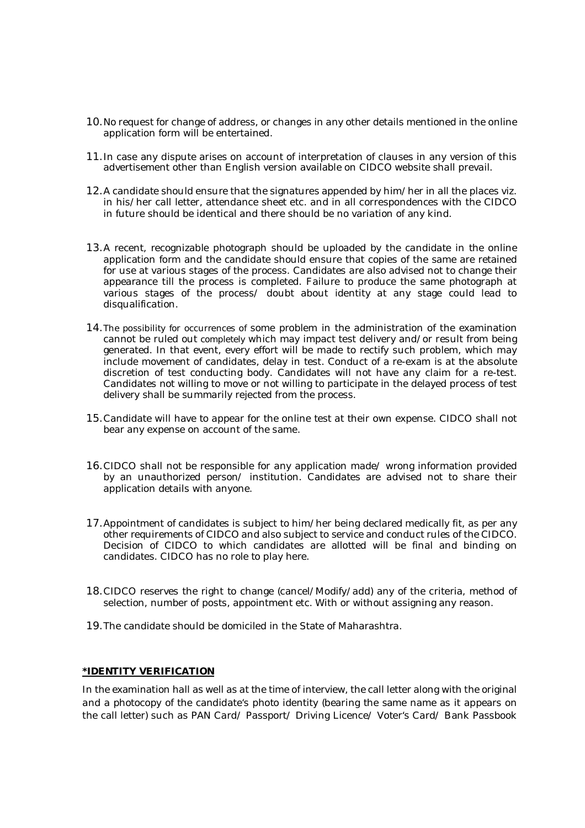- 10.No request for change of address, or changes in any other details mentioned in the online application form will be entertained.
- 11.In case any dispute arises on account of interpretation of clauses in any version of this advertisement other than English version available on CIDCO website shall prevail.
- 12.A candidate should ensure that the signatures appended by him/her in all the places viz. in his/her call letter, attendance sheet etc. and in all correspondences with the CIDCO in future should be identical and there should be no variation of any kind.
- 13.A recent, recognizable photograph should be uploaded by the candidate in the online application form and the candidate should ensure that copies of the same are retained for use at various stages of the process. Candidates are also advised not to change their appearance till the process is completed. Failure to produce the same photograph at various stages of the process/ doubt about identity at any stage could lead to disqualification.
- 14.The possibility for occurrences of some problem in the administration of the examination cannot be ruled out completely which may impact test delivery and/or result from being generated. In that event, every effort will be made to rectify such problem, which may include movement of candidates, delay in test. Conduct of a re-exam is at the absolute discretion of test conducting body. Candidates will not have any claim for a re-test. Candidates not willing to move or not willing to participate in the delayed process of test delivery shall be summarily rejected from the process.
- 15.Candidate will have to appear for the online test at their own expense. CIDCO shall not bear any expense on account of the same.
- 16.CIDCO shall not be responsible for any application made/ wrong information provided by an unauthorized person/ institution. Candidates are advised not to share their application details with anyone.
- 17.Appointment of candidates is subject to him/her being declared medically fit, as per any other requirements of CIDCO and also subject to service and conduct rules of the CIDCO. Decision of CIDCO to which candidates are allotted will be final and binding on candidates. CIDCO has no role to play here.
- 18.CIDCO reserves the right to change (cancel/Modify/add) any of the criteria, method of selection, number of posts, appointment etc. With or without assigning any reason.
- 19.The candidate should be domiciled in the State of Maharashtra.

## **\*IDENTITY VERIFICATION**

In the examination hall as well as at the time of interview, the call letter along with the original and a photocopy of the candidate's photo identity (bearing the same name as it appears on the call letter) such as PAN Card/ Passport/ Driving Licence/ Voter's Card/ Bank Passbook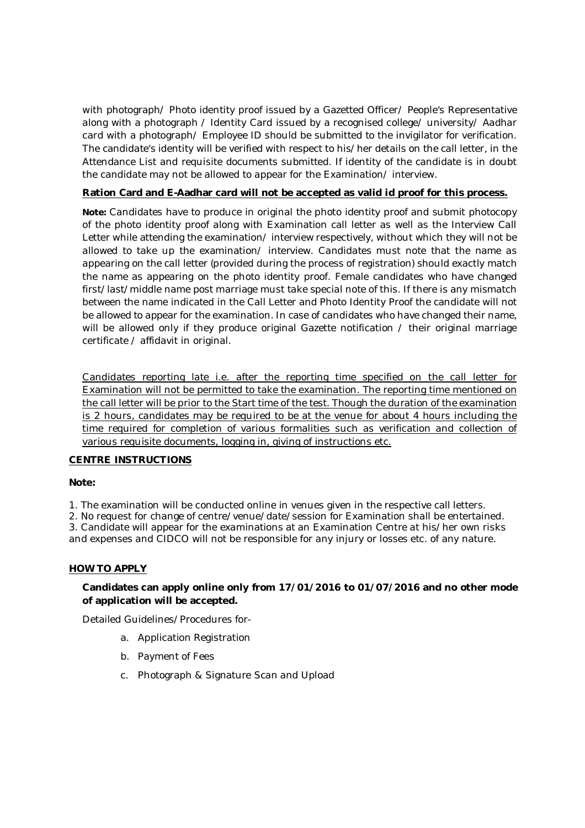with photograph/ Photo identity proof issued by a Gazetted Officer/ People's Representative along with a photograph / Identity Card issued by a recognised college/ university/ Aadhar card with a photograph/ Employee ID should be submitted to the invigilator for verification. The candidate's identity will be verified with respect to his/her details on the call letter, in the Attendance List and requisite documents submitted. If identity of the candidate is in doubt the candidate may not be allowed to appear for the Examination/ interview.

## **Ration Card and E-Aadhar card will not be accepted as valid id proof for this process.**

**Note:** Candidates have to produce in original the photo identity proof and submit photocopy of the photo identity proof along with Examination call letter as well as the Interview Call Letter while attending the examination/ interview respectively, without which they will not be allowed to take up the examination/ interview. Candidates must note that the name as appearing on the call letter (provided during the process of registration) should exactly match the name as appearing on the photo identity proof. Female candidates who have changed first/last/middle name post marriage must take special note of this. If there is any mismatch between the name indicated in the Call Letter and Photo Identity Proof the candidate will not be allowed to appear for the examination. In case of candidates who have changed their name, will be allowed only if they produce original Gazette notification / their original marriage certificate / affidavit in original.

Candidates reporting late i.e. after the reporting time specified on the call letter for Examination will not be permitted to take the examination. The reporting time mentioned on the call letter will be prior to the Start time of the test. Though the duration of the examination is 2 hours, candidates may be required to be at the venue for about 4 hours including the time required for completion of various formalities such as verification and collection of various requisite documents, logging in, giving of instructions etc.

## **CENTRE INSTRUCTIONS**

## **Note:**

1. The examination will be conducted online in venues given in the respective call letters.

2. No request for change of centre/venue/date/session for Examination shall be entertained.

3. Candidate will appear for the examinations at an Examination Centre at his/her own risks and expenses and CIDCO will not be responsible for any injury or losses etc. of any nature.

## **HOW TO APPLY**

## **Candidates can apply online only from 17/01/2016 to 01/07/2016 and no other mode of application will be accepted.**

Detailed Guidelines/Procedures for-

- a. Application Registration
- b. Payment of Fees
- c. Photograph & Signature Scan and Upload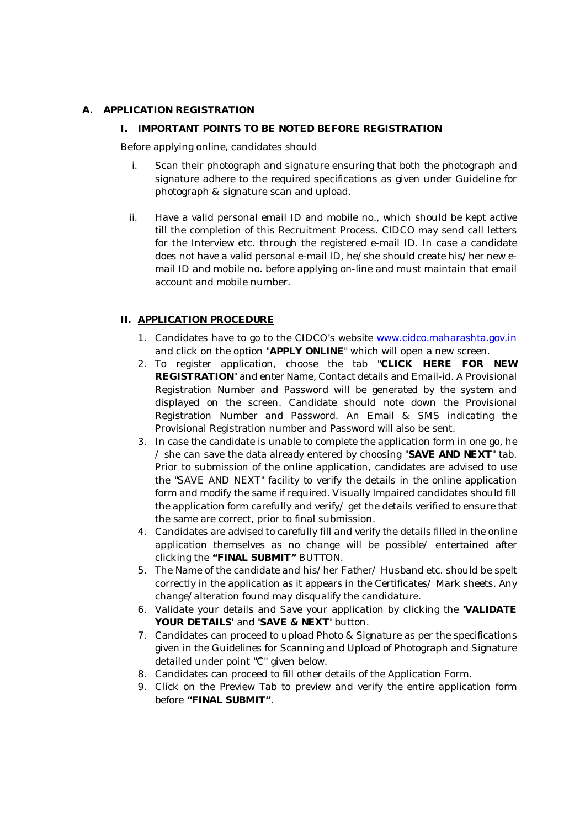## **A. APPLICATION REGISTRATION**

## **I. IMPORTANT POINTS TO BE NOTED BEFORE REGISTRATION**

Before applying online, candidates should

- i. Scan their photograph and signature ensuring that both the photograph and signature adhere to the required specifications as given under Guideline for photograph & signature scan and upload.
- ii. Have a valid personal email ID and mobile no., which should be kept active till the completion of this Recruitment Process. CIDCO may send call letters for the Interview etc. through the registered e-mail ID. In case a candidate does not have a valid personal e-mail ID, he/she should create his/her new email ID and mobile no. before applying on-line and must maintain that email account and mobile number.

## **II. APPLICATION PROCEDURE**

- 1. Candidates have to go to the CIDCO's website www.cidco.maharashta.gov.in and click on the option "**APPLY ONLINE**" which will open a new screen.
- 2. To register application, choose the tab "**CLICK HERE FOR NEW REGISTRATION**" and enter Name, Contact details and Email-id. A Provisional Registration Number and Password will be generated by the system and displayed on the screen. Candidate should note down the Provisional Registration Number and Password. An Email & SMS indicating the Provisional Registration number and Password will also be sent.
- 3. In case the candidate is unable to complete the application form in one go, he / she can save the data already entered by choosing "**SAVE AND NEXT**" tab. Prior to submission of the online application, candidates are advised to use the "SAVE AND NEXT" facility to verify the details in the online application form and modify the same if required. Visually Impaired candidates should fill the application form carefully and verify/ get the details verified to ensure that the same are correct, prior to final submission.
- 4. Candidates are advised to carefully fill and verify the details filled in the online application themselves as no change will be possible/ entertained after clicking the **"FINAL SUBMIT"** BUTTON.
- 5. The Name of the candidate and his/her Father/ Husband etc. should be spelt correctly in the application as it appears in the Certificates/ Mark sheets. Any change/alteration found may disqualify the candidature.
- 6. Validate your details and Save your application by clicking the **'VALIDATE YOUR DETAILS'** and **'SAVE & NEXT'** button.
- 7. Candidates can proceed to upload Photo & Signature as per the specifications given in the Guidelines for Scanning and Upload of Photograph and Signature detailed under point "C" given below.
- 8. Candidates can proceed to fill other details of the Application Form.
- 9. Click on the Preview Tab to preview and verify the entire application form before **"FINAL SUBMIT"**.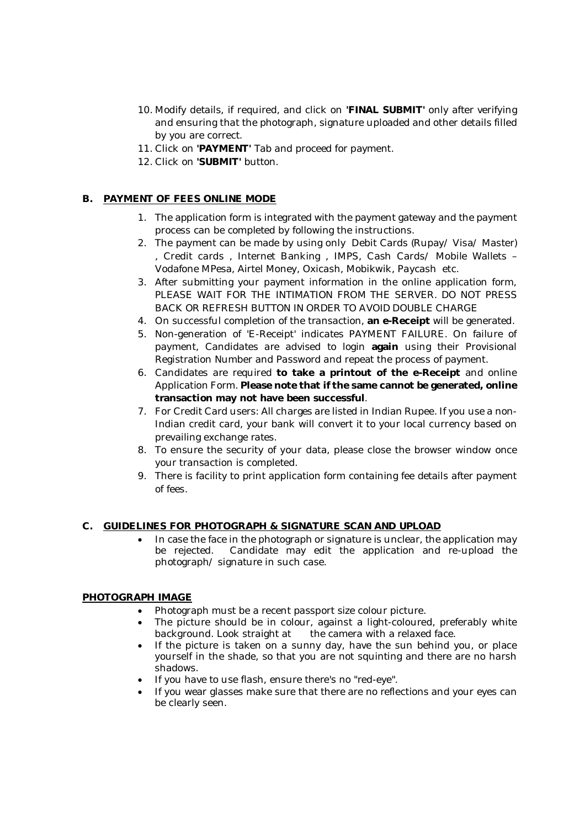- 10. Modify details, if required, and click on **'FINAL SUBMIT'** only after verifying and ensuring that the photograph, signature uploaded and other details filled by you are correct.
- 11. Click on **'PAYMENT'** Tab and proceed for payment.
- 12. Click on **'SUBMIT'** button.

## **B. PAYMENT OF FEES ONLINE MODE**

- 1. The application form is integrated with the payment gateway and the payment process can be completed by following the instructions.
- 2. The payment can be made by using only Debit Cards (Rupay/ Visa/ Master) , Credit cards , Internet Banking , IMPS, Cash Cards/ Mobile Wallets – Vodafone MPesa, Airtel Money, Oxicash, Mobikwik, Paycash etc.
- *3.* After submitting your payment information in the online application form, *PLEASE WAIT FOR THE INTIMATION FROM THE SERVER. DO NOT PRESS BACK OR REFRESH BUTTON IN ORDER TO AVOID DOUBLE CHARGE*
- 4. On successful completion of the transaction, **an e-Receipt** will be generated.
- 5. Non-generation of 'E-Receipt' indicates PAYMENT FAILURE. On failure of payment, Candidates are advised to login **again** using their Provisional Registration Number and Password and repeat the process of payment.
- 6. Candidates are required **to take a printout of the e-Receipt** and online Application Form. **Please note that if the same cannot be generated, online transaction may not have been successful**.
- 7. For Credit Card users: All charges are listed in Indian Rupee. If you use a non-Indian credit card, your bank will convert it to your local currency based on prevailing exchange rates.
- 8. To ensure the security of your data, please close the browser window once your transaction is completed.
- 9. There is facility to print application form containing fee details after payment of fees.

## **C. GUIDELINES FOR PHOTOGRAPH & SIGNATURE SCAN AND UPLOAD**

 In case the face in the photograph or signature is unclear, the application may be rejected. Candidate may edit the application and re-upload the photograph/ signature in such case.

## **PHOTOGRAPH IMAGE**

- Photograph must be a recent passport size colour picture.
- The picture should be in colour, against a light-coloured, preferably white background. Look straight at the camera with a relaxed face.
- If the picture is taken on a sunny day, have the sun behind you, or place yourself in the shade, so that you are not squinting and there are no harsh shadows.
- If you have to use flash, ensure there's no "red-eye".
- If you wear glasses make sure that there are no reflections and your eyes can be clearly seen.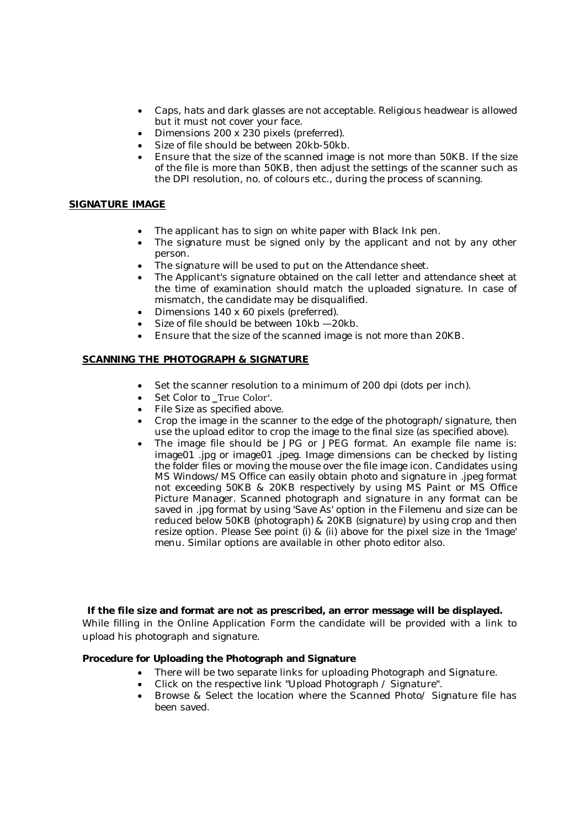- Caps, hats and dark glasses are not acceptable. Religious headwear is allowed but it must not cover your face.
- Dimensions 200 x 230 pixels (preferred).
- Size of file should be between 20kb-50kb.
- Ensure that the size of the scanned image is not more than 50KB. If the size of the file is more than 50KB, then adjust the settings of the scanner such as the DPI resolution, no. of colours etc., during the process of scanning.

## **SIGNATURE IMAGE**

- The applicant has to sign on white paper with Black Ink pen.
- The signature must be signed only by the applicant and not by any other person.
- The signature will be used to put on the Attendance sheet.
- The Applicant's signature obtained on the call letter and attendance sheet at the time of examination should match the uploaded signature. In case of mismatch, the candidate may be disqualified.
- Dimensions 140 x 60 pixels (preferred).
- Size of file should be between 10kb —20kb.
- Ensure that the size of the scanned image is not more than 20KB.

## **SCANNING THE PHOTOGRAPH & SIGNATURE**

- Set the scanner resolution to a minimum of 200 dpi (dots per inch).
- Set Color to \_True Color'.
- File Size as specified above.
- Crop the image in the scanner to the edge of the photograph/signature, then use the upload editor to crop the image to the final size (as specified above).
- The image file should be JPG or JPEG format. An example file name is: image01 .jpg or image01 .jpeg. Image dimensions can be checked by listing the folder files or moving the mouse over the file image icon. Candidates using MS Windows/MS Office can easily obtain photo and signature in .jpeg format not exceeding 50KB & 20KB respectively by using MS Paint or MS Office Picture Manager. Scanned photograph and signature in any format can be saved in .jpg format by using 'Save As' option in the Filemenu and size can be reduced below 50KB (photograph) & 20KB (signature) by using crop and then resize option. Please See point (i) & (ii) above for the pixel size in the 'Image' menu. Similar options are available in other photo editor also.

## **If the file size and format are not as prescribed, an error message will be displayed.**

While filling in the Online Application Form the candidate will be provided with a link to upload his photograph and signature.

## **Procedure for Uploading the Photograph and Signature**

- There will be two separate links for uploading Photograph and Signature.
- Click on the respective link "Upload Photograph / Signature".
- Browse & Select the location where the Scanned Photo/ Signature file has been saved.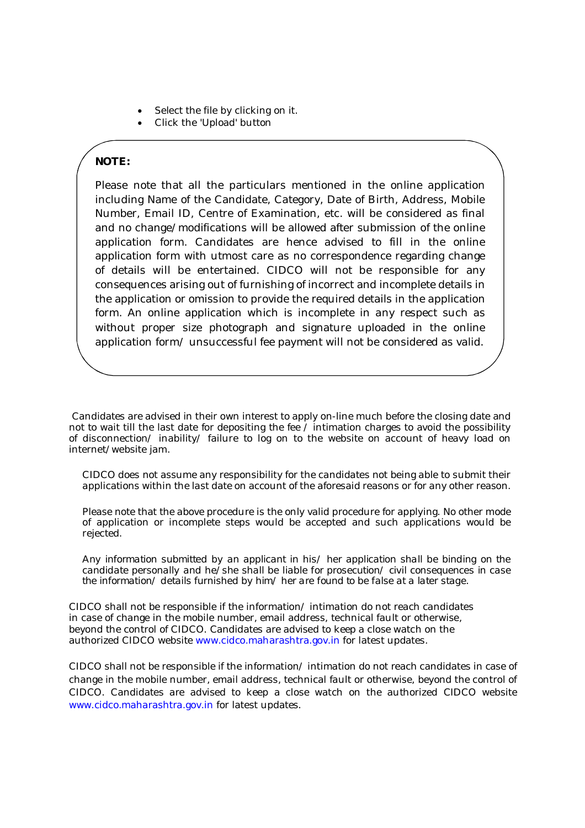- Select the file by clicking on it.
- Click the 'Upload' button

# **NOTE:**

Please note that all the particulars mentioned in the online application including Name of the Candidate, Category, Date of Birth, Address, Mobile Number, Email ID, Centre of Examination, etc. will be considered as final and no change/modifications will be allowed after submission of the online application form. Candidates are hence advised to fill in the online application form with utmost care as no correspondence regarding change of details will be entertained. CIDCO will not be responsible for any consequences arising out of furnishing of incorrect and incomplete details in the application or omission to provide the required details in the application form. An online application which is incomplete in any respect such as without proper size photograph and signature uploaded in the online application form/ unsuccessful fee payment will not be considered as valid.

Candidates are advised in their own interest to apply on-line much before the closing date and not to wait till the last date for depositing the fee / intimation charges to avoid the possibility of disconnection/ inability/ failure to log on to the website on account of heavy load on internet/website jam.

CIDCO does not assume any responsibility for the candidates not being able to submit their applications within the last date on account of the aforesaid reasons or for any other reason.

Please note that the above procedure is the only valid procedure for applying. No other mode of application or incomplete steps would be accepted and such applications would be rejected.

*Any information submitted by an applicant in his/ her application shall be binding on the candidate personally and he/she shall be liable for prosecution/ civil consequences in case the information/ details furnished by him/ her are found to be false at a later stage.* 

CIDCO shall not be responsible if the information/ intimation do not reach candidates in case of change in the mobile number, email address, technical fault or otherwise, beyond the control of CIDCO. Candidates are advised to keep a close watch on the authorized CIDCO website www.cidco.maharashtra.gov.in for latest updates.

CIDCO shall not be responsible if the information/ intimation do not reach candidates in case of change in the mobile number, email address, technical fault or otherwise, beyond the control of CIDCO. Candidates are advised to keep a close watch on the authorized CIDCO website www.cidco.maharashtra.gov.in for latest updates.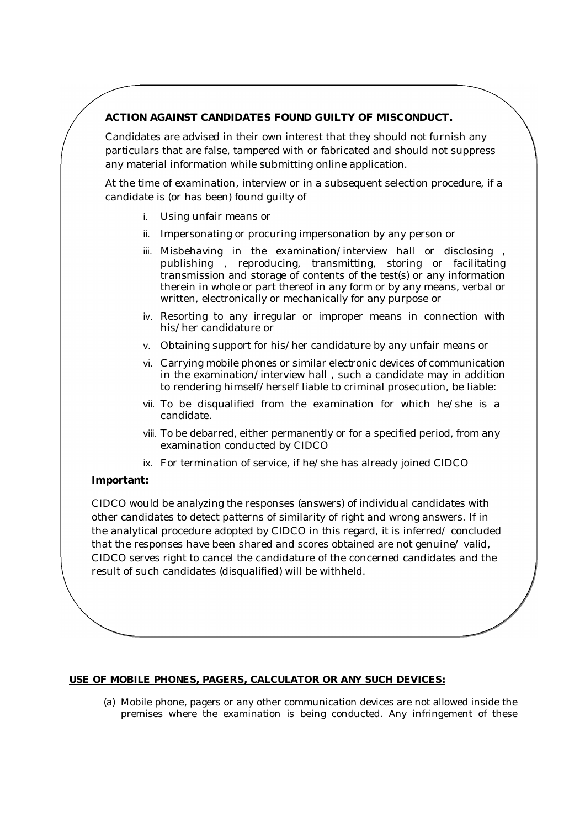# **ACTION AGAINST CANDIDATES FOUND GUILTY OF MISCONDUCT.**

Candidates are advised in their own interest that they should not furnish any particulars that are false, tampered with or fabricated and should not suppress any material information while submitting online application.

At the time of examination, interview or in a subsequent selection procedure, if a candidate is (or has been) found guilty of

- i. Using unfair means or
- ii. Impersonating or procuring impersonation by any person or
- iii. Misbehaving in the examination/interview hall or disclosing , publishing , reproducing, transmitting, storing or facilitating transmission and storage of contents of the test(s) or any information therein in whole or part thereof in any form or by any means, verbal or written, electronically or mechanically for any purpose or
- iv. Resorting to any irregular or improper means in connection with his/her candidature or
- v. Obtaining support for his/her candidature by any unfair means or
- vi. Carrying mobile phones or similar electronic devices of communication in the examination/interview hall , such a candidate may in addition to rendering himself/herself liable to criminal prosecution, be liable:
- vii. To be disqualified from the examination for which he/she is a candidate.
- viii. To be debarred, either permanently or for a specified period, from any examination conducted by CIDCO
- ix. For termination of service, if he/she has already joined CIDCO

## **Important:**

CIDCO would be analyzing the responses (answers) of individual candidates with other candidates to detect patterns of similarity of right and wrong answers. If in the analytical procedure adopted by CIDCO in this regard, it is inferred/ concluded that the responses have been shared and scores obtained are not genuine/ valid, CIDCO serves right to cancel the candidature of the concerned candidates and the result of such candidates (disqualified) will be withheld.

## **USE OF MOBILE PHONES, PAGERS, CALCULATOR OR ANY SUCH DEVICES:**

(a) Mobile phone, pagers or any other communication devices are not allowed inside the premises where the examination is being conducted. Any infringement of these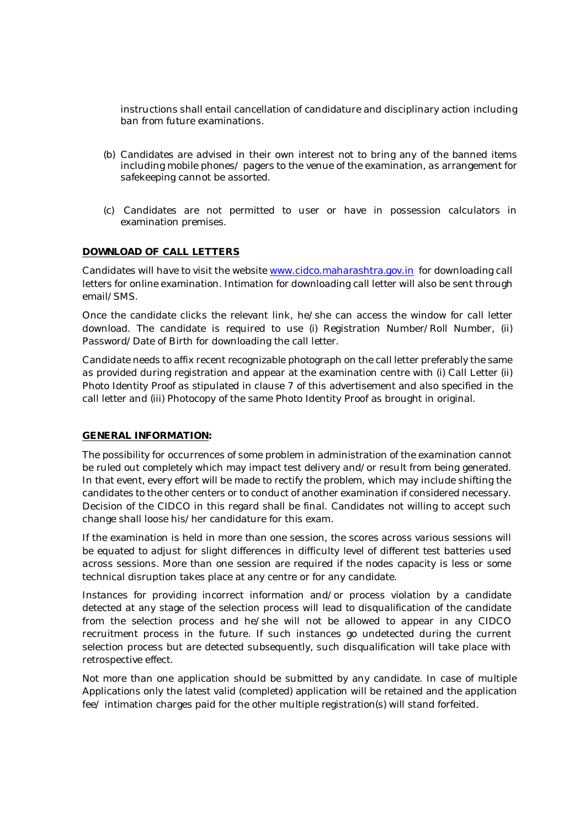instructions shall entail cancellation of candidature and disciplinary action including ban from future examinations.

- (b) Candidates are advised in their own interest not to bring any of the banned items including mobile phones/ pagers to the venue of the examination, as arrangement for safekeeping cannot be assorted.
- (c) Candidates are not permitted to user or have in possession calculators in examination premises.

## **DOWNLOAD OF CALL LETTERS**

Candidates will have to visit the website www.cidco.maharashtra.gov.in for downloading call letters for online examination. Intimation for downloading call letter will also be sent through email/SMS.

Once the candidate clicks the relevant link, he/she can access the window for call letter download. The candidate is required to use (i) Registration Number/Roll Number, (ii) Password/Date of Birth for downloading the call letter.

Candidate needs to affix recent recognizable photograph on the call letter preferably the same as provided during registration and appear at the examination centre with (i) Call Letter (ii) Photo Identity Proof as stipulated in clause 7 of this advertisement and also specified in the call letter and (iii) Photocopy of the same Photo Identity Proof as brought in original.

## **GENERAL INFORMATION:**

The possibility for occurrences of some problem in administration of the examination cannot be ruled out completely which may impact test delivery and/or result from being generated. In that event, every effort will be made to rectify the problem, which may include shifting the candidates to the other centers or to conduct of another examination if considered necessary. Decision of the CIDCO in this regard shall be final. Candidates not willing to accept such change shall loose his/her candidature for this exam.

If the examination is held in more than one session, the scores across various sessions will be equated to adjust for slight differences in difficulty level of different test batteries used across sessions. More than one session are required if the nodes capacity is less or some technical disruption takes place at any centre or for any candidate.

Instances for providing incorrect information and/or process violation by a candidate detected at any stage of the selection process will lead to disqualification of the candidate from the selection process and he/she will not be allowed to appear in any CIDCO recruitment process in the future. If such instances go undetected during the current selection process but are detected subsequently, such disqualification will take place with retrospective effect.

Not more than one application should be submitted by any candidate. In case of multiple Applications only the latest valid (completed) application will be retained and the application fee/ intimation charges paid for the other multiple registration(s) will stand forfeited.